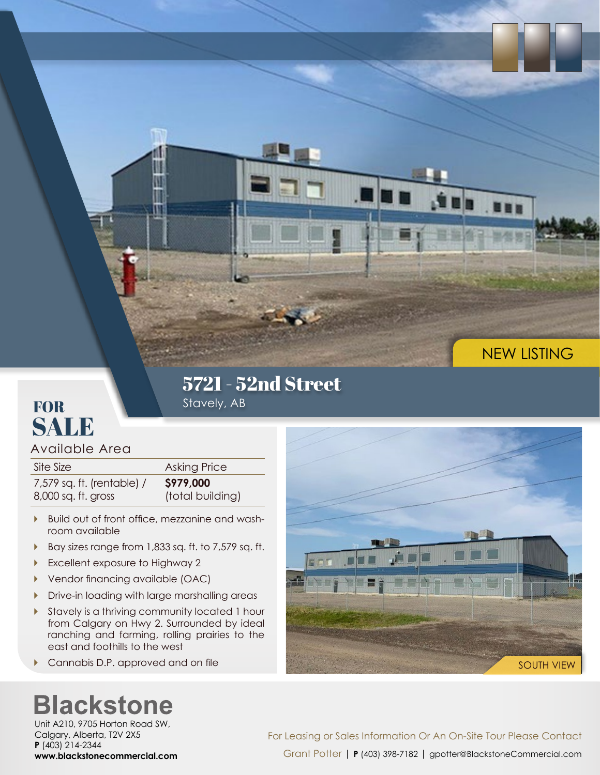

#### 5721 - 52nd Street Stavely, AB

#### **FOR** SALE

Available Area

| Site Size                  | Asking Price     |
|----------------------------|------------------|
| 7,579 sq. ft. (rentable) / | \$979,000        |
| 8,000 sq. ft. gross        | (total building) |

- ▶ Build out of front office, mezzanine and washroom available
- Bay sizes range from 1,833 sq. ft. to 7,579 sq. ft.
- Excellent exposure to Highway 2
- Vendor financing available (OAC)
- **Drive-in loading with large marshalling areas**
- Stavely is a thriving community located 1 hour from Calgary on Hwy 2. Surrounded by ideal ranching and farming, rolling prairies to the east and foothills to the west
- **Cannabis D.P. approved and on file**

# The Li **Time** an I SOUTH VIEW

## **Blackstone**

Unit A210, 9705 Horton Road SW, Calgary, Alberta, T2V 2X5 **P** (403) 214-2344 **www.blackstonecommercial.com**

For Leasing or Sales Information Or An On-Site Tour Please Contact Grant Potter | **P** (403) 398-7182 **|** gpotter@BlackstoneCommercial.com